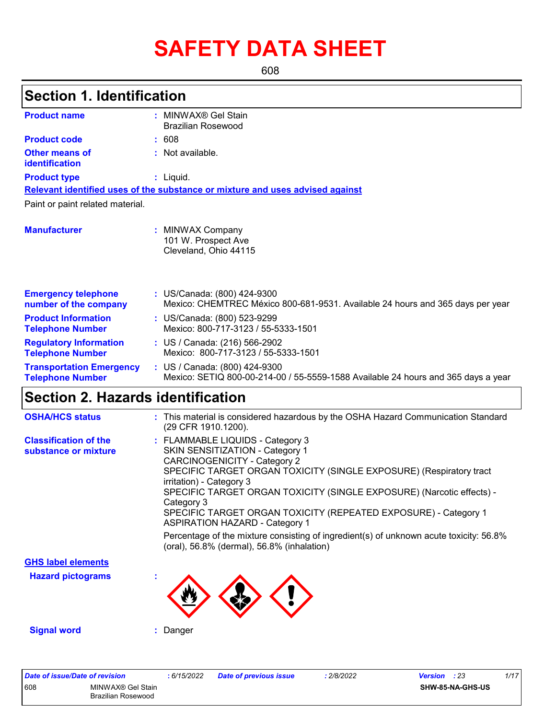# **SAFETY DATA SHEET**

608

# **Section 1. Identification**

| <b>Product name</b>                                        | MINWAX <sup>®</sup> Gel Stain<br>٠<br><b>Brazilian Rosewood</b>                                                    |
|------------------------------------------------------------|--------------------------------------------------------------------------------------------------------------------|
| <b>Product code</b>                                        | : 608                                                                                                              |
| Other means of<br>identification                           | : Not available.                                                                                                   |
| <b>Product type</b>                                        | $:$ Liquid.                                                                                                        |
|                                                            | Relevant identified uses of the substance or mixture and uses advised against                                      |
| Paint or paint related material.                           |                                                                                                                    |
|                                                            |                                                                                                                    |
| <b>Manufacturer</b>                                        | : MINWAX Company<br>101 W. Prospect Ave<br>Cleveland, Ohio 44115                                                   |
| <b>Emergency telephone</b><br>number of the company        | : US/Canada: (800) 424-9300<br>Mexico: CHEMTREC México 800-681-9531. Available 24 hours and 365 days per year      |
| <b>Product Information</b><br><b>Telephone Number</b>      | : US/Canada: (800) 523-9299<br>Mexico: 800-717-3123 / 55-5333-1501                                                 |
| <b>Regulatory Information</b><br><b>Telephone Number</b>   | : US / Canada: (216) 566-2902<br>Mexico: 800-717-3123 / 55-5333-1501                                               |
| <b>Transportation Emergency</b><br><b>Telephone Number</b> | : US / Canada: (800) 424-9300<br>Mexico: SETIQ 800-00-214-00 / 55-5559-1588 Available 24 hours and 365 days a year |

### **Section 2. Hazards identification**

| <b>OSHA/HCS status</b>                               | : This material is considered hazardous by the OSHA Hazard Communication Standard<br>(29 CFR 1910.1200).                                                                                                                                                                                                                                                                                                                                                                                                                                                 |
|------------------------------------------------------|----------------------------------------------------------------------------------------------------------------------------------------------------------------------------------------------------------------------------------------------------------------------------------------------------------------------------------------------------------------------------------------------------------------------------------------------------------------------------------------------------------------------------------------------------------|
| <b>Classification of the</b><br>substance or mixture | : FLAMMABLE LIQUIDS - Category 3<br><b>SKIN SENSITIZATION - Category 1</b><br>CARCINOGENICITY - Category 2<br>SPECIFIC TARGET ORGAN TOXICITY (SINGLE EXPOSURE) (Respiratory tract<br>irritation) - Category 3<br>SPECIFIC TARGET ORGAN TOXICITY (SINGLE EXPOSURE) (Narcotic effects) -<br>Category 3<br>SPECIFIC TARGET ORGAN TOXICITY (REPEATED EXPOSURE) - Category 1<br><b>ASPIRATION HAZARD - Category 1</b><br>Percentage of the mixture consisting of ingredient(s) of unknown acute toxicity: 56.8%<br>(oral), 56.8% (dermal), 56.8% (inhalation) |
| <b>GHS label elements</b>                            |                                                                                                                                                                                                                                                                                                                                                                                                                                                                                                                                                          |
| <b>Hazard pictograms</b>                             |                                                                                                                                                                                                                                                                                                                                                                                                                                                                                                                                                          |
| <b>Signal word</b>                                   | : Danger                                                                                                                                                                                                                                                                                                                                                                                                                                                                                                                                                 |

| Date of issue/Date of revision                 | : 6/15/2022 | <b>Date of previous issue</b> | 2/8/2022 | 1/17<br>: 23<br>Version |
|------------------------------------------------|-------------|-------------------------------|----------|-------------------------|
| 608<br>MINWAX® Gel Stain<br>Brazilian Rosewood |             |                               |          | SHW-85-NA-GHS-US        |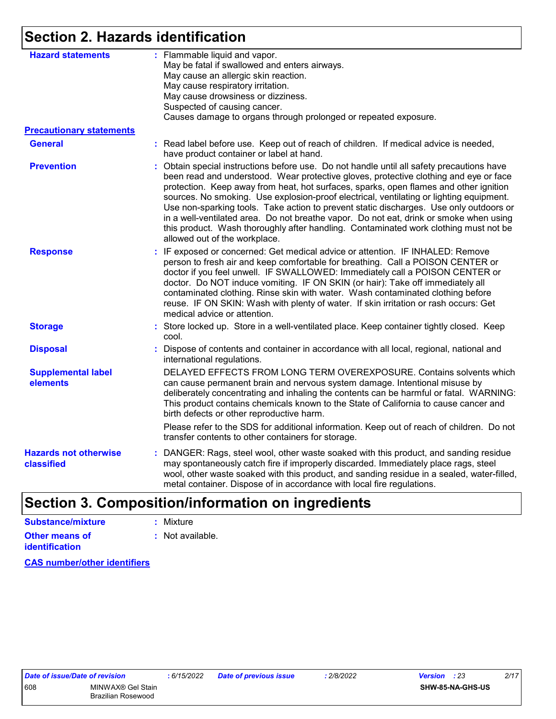## **Section 2. Hazards identification**

| <b>Hazard statements</b>                   | : Flammable liquid and vapor.<br>May be fatal if swallowed and enters airways.<br>May cause an allergic skin reaction.<br>May cause respiratory irritation.<br>May cause drowsiness or dizziness.<br>Suspected of causing cancer.<br>Causes damage to organs through prolonged or repeated exposure.                                                                                                                                                                                                                                                                                                                                                                                |
|--------------------------------------------|-------------------------------------------------------------------------------------------------------------------------------------------------------------------------------------------------------------------------------------------------------------------------------------------------------------------------------------------------------------------------------------------------------------------------------------------------------------------------------------------------------------------------------------------------------------------------------------------------------------------------------------------------------------------------------------|
| <b>Precautionary statements</b>            |                                                                                                                                                                                                                                                                                                                                                                                                                                                                                                                                                                                                                                                                                     |
| <b>General</b>                             | : Read label before use. Keep out of reach of children. If medical advice is needed,<br>have product container or label at hand.                                                                                                                                                                                                                                                                                                                                                                                                                                                                                                                                                    |
| <b>Prevention</b>                          | : Obtain special instructions before use. Do not handle until all safety precautions have<br>been read and understood. Wear protective gloves, protective clothing and eye or face<br>protection. Keep away from heat, hot surfaces, sparks, open flames and other ignition<br>sources. No smoking. Use explosion-proof electrical, ventilating or lighting equipment.<br>Use non-sparking tools. Take action to prevent static discharges. Use only outdoors or<br>in a well-ventilated area. Do not breathe vapor. Do not eat, drink or smoke when using<br>this product. Wash thoroughly after handling. Contaminated work clothing must not be<br>allowed out of the workplace. |
| <b>Response</b>                            | : IF exposed or concerned: Get medical advice or attention. IF INHALED: Remove<br>person to fresh air and keep comfortable for breathing. Call a POISON CENTER or<br>doctor if you feel unwell. IF SWALLOWED: Immediately call a POISON CENTER or<br>doctor. Do NOT induce vomiting. IF ON SKIN (or hair): Take off immediately all<br>contaminated clothing. Rinse skin with water. Wash contaminated clothing before<br>reuse. IF ON SKIN: Wash with plenty of water. If skin irritation or rash occurs: Get<br>medical advice or attention.                                                                                                                                      |
| <b>Storage</b>                             | : Store locked up. Store in a well-ventilated place. Keep container tightly closed. Keep<br>cool.                                                                                                                                                                                                                                                                                                                                                                                                                                                                                                                                                                                   |
| <b>Disposal</b>                            | : Dispose of contents and container in accordance with all local, regional, national and<br>international regulations.                                                                                                                                                                                                                                                                                                                                                                                                                                                                                                                                                              |
| <b>Supplemental label</b><br>elements      | DELAYED EFFECTS FROM LONG TERM OVEREXPOSURE. Contains solvents which<br>can cause permanent brain and nervous system damage. Intentional misuse by<br>deliberately concentrating and inhaling the contents can be harmful or fatal. WARNING:<br>This product contains chemicals known to the State of California to cause cancer and<br>birth defects or other reproductive harm.                                                                                                                                                                                                                                                                                                   |
|                                            | Please refer to the SDS for additional information. Keep out of reach of children. Do not<br>transfer contents to other containers for storage.                                                                                                                                                                                                                                                                                                                                                                                                                                                                                                                                     |
| <b>Hazards not otherwise</b><br>classified | : DANGER: Rags, steel wool, other waste soaked with this product, and sanding residue<br>may spontaneously catch fire if improperly discarded. Immediately place rags, steel<br>wool, other waste soaked with this product, and sanding residue in a sealed, water-filled,<br>metal container. Dispose of in accordance with local fire regulations.                                                                                                                                                                                                                                                                                                                                |

# **Section 3. Composition/information on ingredients**

| Substance/mixture                       | : Mixture        |
|-----------------------------------------|------------------|
| Other means of<br><b>identification</b> | : Not available. |

**CAS number/other identifiers**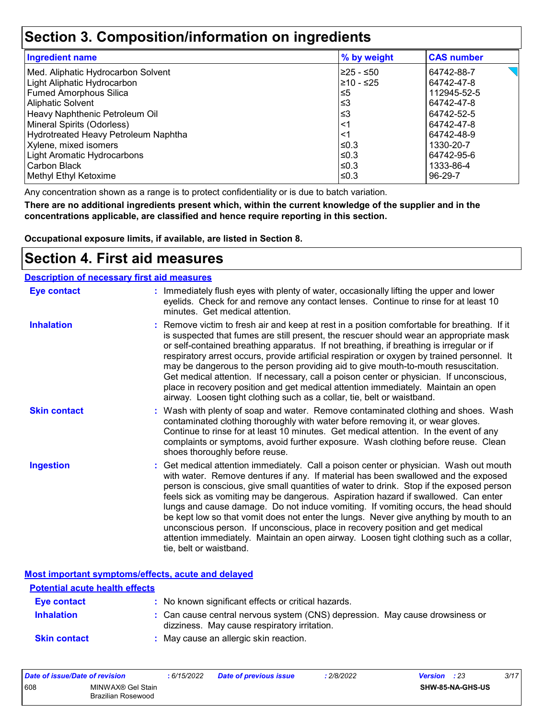### **Section 3. Composition/information on ingredients**

| <b>Ingredient name</b>               | % by weight | <b>CAS number</b> |
|--------------------------------------|-------------|-------------------|
| Med. Aliphatic Hydrocarbon Solvent   | 225 - ≤50   | 64742-88-7        |
| Light Aliphatic Hydrocarbon          | 210 - ≤25   | 64742-47-8        |
| <b>Fumed Amorphous Silica</b>        | $\leq 5$    | 112945-52-5       |
| Aliphatic Solvent                    | ≲3          | 64742-47-8        |
| Heavy Naphthenic Petroleum Oil       | ≲3          | 64742-52-5        |
| Mineral Spirits (Odorless)           | $<$ 1       | 64742-47-8        |
| Hydrotreated Heavy Petroleum Naphtha | $\leq$ 1    | 64742-48-9        |
| Xylene, mixed isomers                | l≤0.3       | 1330-20-7         |
| Light Aromatic Hydrocarbons          | l≤0.3       | 64742-95-6        |
| Carbon Black                         | l≤0.3       | 1333-86-4         |
| Methyl Ethyl Ketoxime                | l≤0.3       | 96-29-7           |

Any concentration shown as a range is to protect confidentiality or is due to batch variation.

**There are no additional ingredients present which, within the current knowledge of the supplier and in the concentrations applicable, are classified and hence require reporting in this section.**

**Occupational exposure limits, if available, are listed in Section 8.**

### **Section 4. First aid measures**

| <b>Description of necessary first aid measures</b> |                                                                                                                                                                                                                                                                                                                                                                                                                                                                                                                                                                                                                                                                                                                                                         |
|----------------------------------------------------|---------------------------------------------------------------------------------------------------------------------------------------------------------------------------------------------------------------------------------------------------------------------------------------------------------------------------------------------------------------------------------------------------------------------------------------------------------------------------------------------------------------------------------------------------------------------------------------------------------------------------------------------------------------------------------------------------------------------------------------------------------|
| <b>Eye contact</b>                                 | : Immediately flush eyes with plenty of water, occasionally lifting the upper and lower<br>eyelids. Check for and remove any contact lenses. Continue to rinse for at least 10<br>minutes. Get medical attention.                                                                                                                                                                                                                                                                                                                                                                                                                                                                                                                                       |
| <b>Inhalation</b>                                  | : Remove victim to fresh air and keep at rest in a position comfortable for breathing. If it<br>is suspected that fumes are still present, the rescuer should wear an appropriate mask<br>or self-contained breathing apparatus. If not breathing, if breathing is irregular or if<br>respiratory arrest occurs, provide artificial respiration or oxygen by trained personnel. It<br>may be dangerous to the person providing aid to give mouth-to-mouth resuscitation.<br>Get medical attention. If necessary, call a poison center or physician. If unconscious,<br>place in recovery position and get medical attention immediately. Maintain an open<br>airway. Loosen tight clothing such as a collar, tie, belt or waistband.                    |
| <b>Skin contact</b>                                | : Wash with plenty of soap and water. Remove contaminated clothing and shoes. Wash<br>contaminated clothing thoroughly with water before removing it, or wear gloves.<br>Continue to rinse for at least 10 minutes. Get medical attention. In the event of any<br>complaints or symptoms, avoid further exposure. Wash clothing before reuse. Clean<br>shoes thoroughly before reuse.                                                                                                                                                                                                                                                                                                                                                                   |
| <b>Ingestion</b>                                   | : Get medical attention immediately. Call a poison center or physician. Wash out mouth<br>with water. Remove dentures if any. If material has been swallowed and the exposed<br>person is conscious, give small quantities of water to drink. Stop if the exposed person<br>feels sick as vomiting may be dangerous. Aspiration hazard if swallowed. Can enter<br>lungs and cause damage. Do not induce vomiting. If vomiting occurs, the head should<br>be kept low so that vomit does not enter the lungs. Never give anything by mouth to an<br>unconscious person. If unconscious, place in recovery position and get medical<br>attention immediately. Maintain an open airway. Loosen tight clothing such as a collar,<br>tie, belt or waistband. |

**Most important symptoms/effects, acute and delayed**

| <b>Potential acute health effects</b> |                                                                                                                              |
|---------------------------------------|------------------------------------------------------------------------------------------------------------------------------|
| Eye contact                           | : No known significant effects or critical hazards.                                                                          |
| <b>Inhalation</b>                     | : Can cause central nervous system (CNS) depression. May cause drowsiness or<br>dizziness. May cause respiratory irritation. |
| <b>Skin contact</b>                   | : May cause an allergic skin reaction.                                                                                       |

| Date of issue/Date of revision |                                         | : 6/15/2022 | <b>Date of previous issue</b> | 2/8/2022 | <b>Version</b> : 23 | 3/17 |
|--------------------------------|-----------------------------------------|-------------|-------------------------------|----------|---------------------|------|
| 608                            | MINWAX® Gel Stain<br>Brazilian Rosewood |             |                               |          | SHW-85-NA-GHS-US    |      |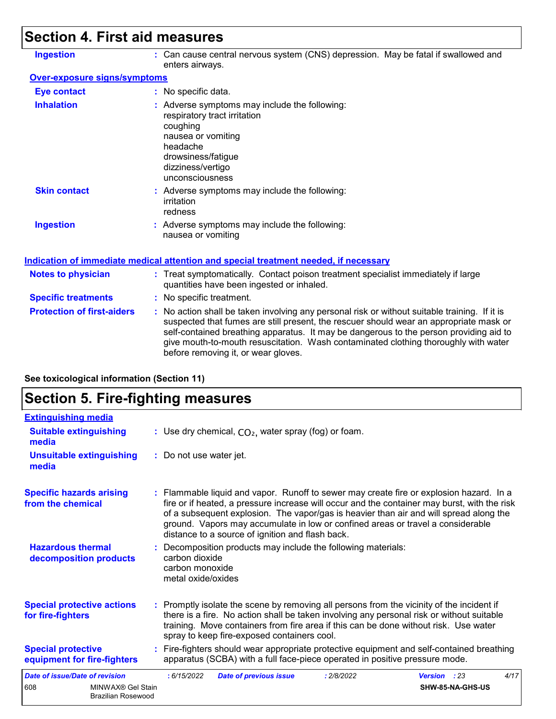# **Section 4. First aid measures**

| <b>Ingestion</b>                    | : Can cause central nervous system (CNS) depression. May be fatal if swallowed and<br>enters airways.                                                                                                                                                                                                                                                                                                           |
|-------------------------------------|-----------------------------------------------------------------------------------------------------------------------------------------------------------------------------------------------------------------------------------------------------------------------------------------------------------------------------------------------------------------------------------------------------------------|
| <b>Over-exposure signs/symptoms</b> |                                                                                                                                                                                                                                                                                                                                                                                                                 |
| <b>Eye contact</b>                  | : No specific data.                                                                                                                                                                                                                                                                                                                                                                                             |
| <b>Inhalation</b>                   | : Adverse symptoms may include the following:<br>respiratory tract irritation<br>coughing<br>nausea or vomiting<br>headache<br>drowsiness/fatigue<br>dizziness/vertigo<br>unconsciousness                                                                                                                                                                                                                       |
| <b>Skin contact</b>                 | : Adverse symptoms may include the following:<br>irritation<br>redness                                                                                                                                                                                                                                                                                                                                          |
| <b>Ingestion</b>                    | : Adverse symptoms may include the following:<br>nausea or vomiting                                                                                                                                                                                                                                                                                                                                             |
|                                     | <b>Indication of immediate medical attention and special treatment needed, if necessary</b>                                                                                                                                                                                                                                                                                                                     |
| <b>Notes to physician</b>           | : Treat symptomatically. Contact poison treatment specialist immediately if large<br>quantities have been ingested or inhaled.                                                                                                                                                                                                                                                                                  |
| <b>Specific treatments</b>          | : No specific treatment.                                                                                                                                                                                                                                                                                                                                                                                        |
| <b>Protection of first-aiders</b>   | : No action shall be taken involving any personal risk or without suitable training. If it is<br>suspected that fumes are still present, the rescuer should wear an appropriate mask or<br>self-contained breathing apparatus. It may be dangerous to the person providing aid to<br>give mouth-to-mouth resuscitation. Wash contaminated clothing thoroughly with water<br>before removing it, or wear gloves. |

**See toxicological information (Section 11)**

# **Section 5. Fire-fighting measures**

| <b>Extinguishing media</b>                               |                                                                                                                                                                                                                                                                                                                                                                                                                          |
|----------------------------------------------------------|--------------------------------------------------------------------------------------------------------------------------------------------------------------------------------------------------------------------------------------------------------------------------------------------------------------------------------------------------------------------------------------------------------------------------|
| <b>Suitable extinguishing</b><br>media                   | : Use dry chemical, $CO2$ , water spray (fog) or foam.                                                                                                                                                                                                                                                                                                                                                                   |
| <b>Unsuitable extinguishing</b><br>media                 | : Do not use water jet.                                                                                                                                                                                                                                                                                                                                                                                                  |
| <b>Specific hazards arising</b><br>from the chemical     | : Flammable liquid and vapor. Runoff to sewer may create fire or explosion hazard. In a<br>fire or if heated, a pressure increase will occur and the container may burst, with the risk<br>of a subsequent explosion. The vapor/gas is heavier than air and will spread along the<br>ground. Vapors may accumulate in low or confined areas or travel a considerable<br>distance to a source of ignition and flash back. |
| <b>Hazardous thermal</b><br>decomposition products       | : Decomposition products may include the following materials:<br>carbon dioxide<br>carbon monoxide<br>metal oxide/oxides                                                                                                                                                                                                                                                                                                 |
| <b>Special protective actions</b><br>for fire-fighters   | : Promptly isolate the scene by removing all persons from the vicinity of the incident if<br>there is a fire. No action shall be taken involving any personal risk or without suitable<br>training. Move containers from fire area if this can be done without risk. Use water<br>spray to keep fire-exposed containers cool.                                                                                            |
| <b>Special protective</b><br>equipment for fire-fighters | : Fire-fighters should wear appropriate protective equipment and self-contained breathing<br>apparatus (SCBA) with a full face-piece operated in positive pressure mode.                                                                                                                                                                                                                                                 |
| <b>Date of issue/Date of revision</b>                    | 4/17<br>: 6/15/2022<br><b>Date of previous issue</b><br>: 2/8/2022<br><b>Version</b> : 23                                                                                                                                                                                                                                                                                                                                |
| 608<br>MINWAX® Gel Stain<br>Brazilian Rosewood           | SHW-85-NA-GHS-US                                                                                                                                                                                                                                                                                                                                                                                                         |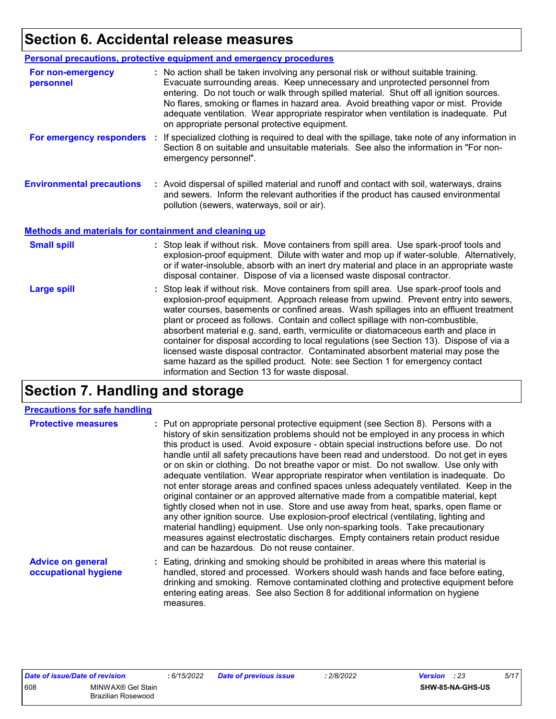# **Section 6. Accidental release measures**

|                                                       | Personal precautions, protective equipment and emergency procedures                                                                                                                                                                                                                                                                                                                                                                                                                                                                                                                                                                                                                                                                                                  |
|-------------------------------------------------------|----------------------------------------------------------------------------------------------------------------------------------------------------------------------------------------------------------------------------------------------------------------------------------------------------------------------------------------------------------------------------------------------------------------------------------------------------------------------------------------------------------------------------------------------------------------------------------------------------------------------------------------------------------------------------------------------------------------------------------------------------------------------|
| For non-emergency<br>personnel                        | : No action shall be taken involving any personal risk or without suitable training.<br>Evacuate surrounding areas. Keep unnecessary and unprotected personnel from<br>entering. Do not touch or walk through spilled material. Shut off all ignition sources.<br>No flares, smoking or flames in hazard area. Avoid breathing vapor or mist. Provide<br>adequate ventilation. Wear appropriate respirator when ventilation is inadequate. Put<br>on appropriate personal protective equipment.                                                                                                                                                                                                                                                                      |
| For emergency responders                              | : If specialized clothing is required to deal with the spillage, take note of any information in<br>Section 8 on suitable and unsuitable materials. See also the information in "For non-<br>emergency personnel".                                                                                                                                                                                                                                                                                                                                                                                                                                                                                                                                                   |
| <b>Environmental precautions</b>                      | : Avoid dispersal of spilled material and runoff and contact with soil, waterways, drains<br>and sewers. Inform the relevant authorities if the product has caused environmental<br>pollution (sewers, waterways, soil or air).                                                                                                                                                                                                                                                                                                                                                                                                                                                                                                                                      |
| Methods and materials for containment and cleaning up |                                                                                                                                                                                                                                                                                                                                                                                                                                                                                                                                                                                                                                                                                                                                                                      |
| <b>Small spill</b>                                    | : Stop leak if without risk. Move containers from spill area. Use spark-proof tools and<br>explosion-proof equipment. Dilute with water and mop up if water-soluble. Alternatively,<br>or if water-insoluble, absorb with an inert dry material and place in an appropriate waste<br>disposal container. Dispose of via a licensed waste disposal contractor.                                                                                                                                                                                                                                                                                                                                                                                                        |
| <b>Large spill</b>                                    | : Stop leak if without risk. Move containers from spill area. Use spark-proof tools and<br>explosion-proof equipment. Approach release from upwind. Prevent entry into sewers,<br>water courses, basements or confined areas. Wash spillages into an effluent treatment<br>plant or proceed as follows. Contain and collect spillage with non-combustible,<br>absorbent material e.g. sand, earth, vermiculite or diatomaceous earth and place in<br>container for disposal according to local regulations (see Section 13). Dispose of via a<br>licensed waste disposal contractor. Contaminated absorbent material may pose the<br>same hazard as the spilled product. Note: see Section 1 for emergency contact<br>information and Section 13 for waste disposal. |

# **Section 7. Handling and storage**

#### **Precautions for safe handling**

| <b>Protective measures</b>                       | : Put on appropriate personal protective equipment (see Section 8). Persons with a<br>history of skin sensitization problems should not be employed in any process in which<br>this product is used. Avoid exposure - obtain special instructions before use. Do not<br>handle until all safety precautions have been read and understood. Do not get in eyes<br>or on skin or clothing. Do not breathe vapor or mist. Do not swallow. Use only with<br>adequate ventilation. Wear appropriate respirator when ventilation is inadequate. Do<br>not enter storage areas and confined spaces unless adequately ventilated. Keep in the<br>original container or an approved alternative made from a compatible material, kept<br>tightly closed when not in use. Store and use away from heat, sparks, open flame or<br>any other ignition source. Use explosion-proof electrical (ventilating, lighting and<br>material handling) equipment. Use only non-sparking tools. Take precautionary<br>measures against electrostatic discharges. Empty containers retain product residue<br>and can be hazardous. Do not reuse container. |
|--------------------------------------------------|-------------------------------------------------------------------------------------------------------------------------------------------------------------------------------------------------------------------------------------------------------------------------------------------------------------------------------------------------------------------------------------------------------------------------------------------------------------------------------------------------------------------------------------------------------------------------------------------------------------------------------------------------------------------------------------------------------------------------------------------------------------------------------------------------------------------------------------------------------------------------------------------------------------------------------------------------------------------------------------------------------------------------------------------------------------------------------------------------------------------------------------|
| <b>Advice on general</b><br>occupational hygiene | : Eating, drinking and smoking should be prohibited in areas where this material is<br>handled, stored and processed. Workers should wash hands and face before eating,<br>drinking and smoking. Remove contaminated clothing and protective equipment before<br>entering eating areas. See also Section 8 for additional information on hygiene<br>measures.                                                                                                                                                                                                                                                                                                                                                                                                                                                                                                                                                                                                                                                                                                                                                                       |

| Date of issue/Date of revision |                    | : 6/15/202 |
|--------------------------------|--------------------|------------|
| 608                            | MINWAX® Gel Stain  |            |
|                                | Brazilian Rosewood |            |

$$
\frac{1}{2}/8/2022
$$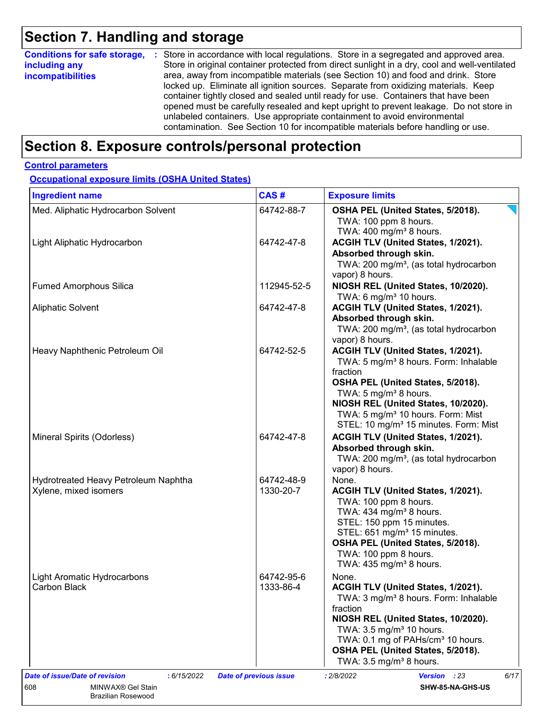# **Section 7. Handling and storage**

| <b>Conditions for safe storage,</b> | : Store in accordance with local regulations. Store in a segregated and approved area.        |
|-------------------------------------|-----------------------------------------------------------------------------------------------|
| including any                       | Store in original container protected from direct sunlight in a dry, cool and well-ventilated |
| <b>incompatibilities</b>            | area, away from incompatible materials (see Section 10) and food and drink. Store             |
|                                     | locked up. Eliminate all ignition sources. Separate from oxidizing materials. Keep            |
|                                     | container tightly closed and sealed until ready for use. Containers that have been            |
|                                     | opened must be carefully resealed and kept upright to prevent leakage. Do not store in        |
|                                     | unlabeled containers. Use appropriate containment to avoid environmental                      |
|                                     | contamination. See Section 10 for incompatible materials before handling or use.              |

## **Section 8. Exposure controls/personal protection**

#### **Control parameters**

**Occupational exposure limits (OSHA United States)**

| <b>Ingredient name</b>                        | CAS#                          | <b>Exposure limits</b>                                                                           |
|-----------------------------------------------|-------------------------------|--------------------------------------------------------------------------------------------------|
| Med. Aliphatic Hydrocarbon Solvent            | 64742-88-7                    | OSHA PEL (United States, 5/2018).<br>TWA: 100 ppm 8 hours.<br>TWA: $400 \text{ mg/m}^3$ 8 hours. |
| Light Aliphatic Hydrocarbon                   | 64742-47-8                    | ACGIH TLV (United States, 1/2021).                                                               |
|                                               |                               | Absorbed through skin.                                                                           |
|                                               |                               | TWA: 200 mg/m <sup>3</sup> , (as total hydrocarbon                                               |
|                                               |                               | vapor) 8 hours.                                                                                  |
| <b>Fumed Amorphous Silica</b>                 | 112945-52-5                   | NIOSH REL (United States, 10/2020).                                                              |
|                                               |                               | TWA: 6 mg/m <sup>3</sup> 10 hours.                                                               |
| <b>Aliphatic Solvent</b>                      | 64742-47-8                    | ACGIH TLV (United States, 1/2021).                                                               |
|                                               |                               | Absorbed through skin.                                                                           |
|                                               |                               | TWA: 200 mg/m <sup>3</sup> , (as total hydrocarbon                                               |
|                                               |                               | vapor) 8 hours.                                                                                  |
| Heavy Naphthenic Petroleum Oil                | 64742-52-5                    | ACGIH TLV (United States, 1/2021).<br>TWA: 5 mg/m <sup>3</sup> 8 hours. Form: Inhalable          |
|                                               |                               | fraction                                                                                         |
|                                               |                               | OSHA PEL (United States, 5/2018).                                                                |
|                                               |                               | TWA: 5 mg/m <sup>3</sup> 8 hours.                                                                |
|                                               |                               | NIOSH REL (United States, 10/2020).                                                              |
|                                               |                               | TWA: 5 mg/m <sup>3</sup> 10 hours. Form: Mist                                                    |
|                                               |                               | STEL: 10 mg/m <sup>3</sup> 15 minutes. Form: Mist                                                |
| Mineral Spirits (Odorless)                    | 64742-47-8                    | ACGIH TLV (United States, 1/2021).                                                               |
|                                               |                               | Absorbed through skin.                                                                           |
|                                               |                               | TWA: 200 mg/m <sup>3</sup> , (as total hydrocarbon                                               |
|                                               |                               | vapor) 8 hours.                                                                                  |
| Hydrotreated Heavy Petroleum Naphtha          | 64742-48-9                    | None.                                                                                            |
| Xylene, mixed isomers                         | 1330-20-7                     | ACGIH TLV (United States, 1/2021).<br>TWA: 100 ppm 8 hours.                                      |
|                                               |                               | TWA: $434$ mg/m <sup>3</sup> 8 hours.                                                            |
|                                               |                               | STEL: 150 ppm 15 minutes.                                                                        |
|                                               |                               | STEL: 651 mg/m <sup>3</sup> 15 minutes.                                                          |
|                                               |                               | OSHA PEL (United States, 5/2018).                                                                |
|                                               |                               | TWA: 100 ppm 8 hours.                                                                            |
|                                               |                               | TWA: 435 mg/m <sup>3</sup> 8 hours.                                                              |
| Light Aromatic Hydrocarbons                   | 64742-95-6                    | None.                                                                                            |
| Carbon Black                                  | 1333-86-4                     | ACGIH TLV (United States, 1/2021).                                                               |
|                                               |                               | TWA: 3 mg/m <sup>3</sup> 8 hours. Form: Inhalable                                                |
|                                               |                               | fraction                                                                                         |
|                                               |                               | NIOSH REL (United States, 10/2020).                                                              |
|                                               |                               | TWA: 3.5 mg/m <sup>3</sup> 10 hours.                                                             |
|                                               |                               | TWA: 0.1 mg of PAHs/cm <sup>3</sup> 10 hours.<br>OSHA PEL (United States, 5/2018).               |
|                                               |                               | TWA: $3.5 \text{ mg/m}^3$ 8 hours.                                                               |
| Date of issue/Date of revision<br>: 6/15/2022 | <b>Date of previous issue</b> | : 2/8/2022<br><b>Version</b> : 23<br>6/17                                                        |
| MINWAX® Gel Stain                             |                               | SHW-85-NA-GHS-US                                                                                 |
| 608<br><b>Brazilian Rosewood</b>              |                               |                                                                                                  |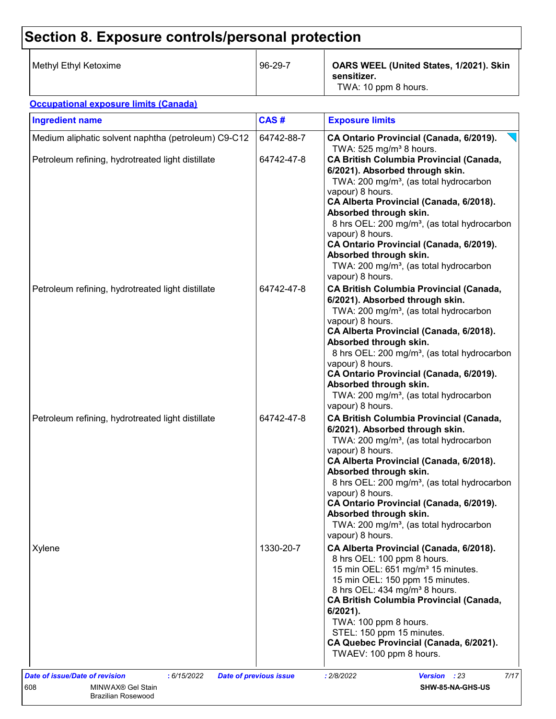# **Section 8. Exposure controls/personal protection**

| Methyl Ethyl Ketoxime | 96-29-7 | OARS WEEL (United States, 1/2021). Skin<br>sensitizer.<br>TWA: 10 ppm 8 hours. |
|-----------------------|---------|--------------------------------------------------------------------------------|
|-----------------------|---------|--------------------------------------------------------------------------------|

#### **Occupational exposure limits (Canada)**

| Medium aliphatic solvent naphtha (petroleum) C9-C12<br>Petroleum refining, hydrotreated light distillate | 64742-88-7 | CA Ontario Provincial (Canada, 6/2019).                                                                                                                                                                                                                                                                                                                                                                                                                         |
|----------------------------------------------------------------------------------------------------------|------------|-----------------------------------------------------------------------------------------------------------------------------------------------------------------------------------------------------------------------------------------------------------------------------------------------------------------------------------------------------------------------------------------------------------------------------------------------------------------|
|                                                                                                          |            | TWA: 525 mg/m <sup>3</sup> 8 hours.                                                                                                                                                                                                                                                                                                                                                                                                                             |
|                                                                                                          | 64742-47-8 | CA British Columbia Provincial (Canada,<br>6/2021). Absorbed through skin.<br>TWA: 200 mg/m <sup>3</sup> , (as total hydrocarbon<br>vapour) 8 hours.<br>CA Alberta Provincial (Canada, 6/2018).<br>Absorbed through skin.<br>8 hrs OEL: 200 mg/m <sup>3</sup> , (as total hydrocarbon<br>vapour) 8 hours.<br>CA Ontario Provincial (Canada, 6/2019).<br>Absorbed through skin.<br>TWA: 200 mg/m <sup>3</sup> , (as total hydrocarbon<br>vapour) 8 hours.        |
| Petroleum refining, hydrotreated light distillate                                                        | 64742-47-8 | <b>CA British Columbia Provincial (Canada,</b><br>6/2021). Absorbed through skin.<br>TWA: 200 mg/m <sup>3</sup> , (as total hydrocarbon<br>vapour) 8 hours.<br>CA Alberta Provincial (Canada, 6/2018).<br>Absorbed through skin.<br>8 hrs OEL: 200 mg/m <sup>3</sup> , (as total hydrocarbon<br>vapour) 8 hours.<br>CA Ontario Provincial (Canada, 6/2019).<br>Absorbed through skin.<br>TWA: 200 mg/m <sup>3</sup> , (as total hydrocarbon<br>vapour) 8 hours. |
| Petroleum refining, hydrotreated light distillate                                                        | 64742-47-8 | <b>CA British Columbia Provincial (Canada,</b><br>6/2021). Absorbed through skin.<br>TWA: 200 mg/m <sup>3</sup> , (as total hydrocarbon<br>vapour) 8 hours.<br>CA Alberta Provincial (Canada, 6/2018).<br>Absorbed through skin.<br>8 hrs OEL: 200 mg/m <sup>3</sup> , (as total hydrocarbon<br>vapour) 8 hours.<br>CA Ontario Provincial (Canada, 6/2019).<br>Absorbed through skin.<br>TWA: 200 mg/m <sup>3</sup> , (as total hydrocarbon<br>vapour) 8 hours. |
| Xylene                                                                                                   | 1330-20-7  | CA Alberta Provincial (Canada, 6/2018).<br>8 hrs OEL: 100 ppm 8 hours.<br>15 min OEL: 651 mg/m <sup>3</sup> 15 minutes.<br>15 min OEL: 150 ppm 15 minutes.<br>8 hrs OEL: 434 mg/m <sup>3</sup> 8 hours.<br><b>CA British Columbia Provincial (Canada,</b><br>$6/2021$ ).<br>TWA: 100 ppm 8 hours.<br>STEL: 150 ppm 15 minutes.<br>CA Quebec Provincial (Canada, 6/2021).<br>TWAEV: 100 ppm 8 hours.                                                             |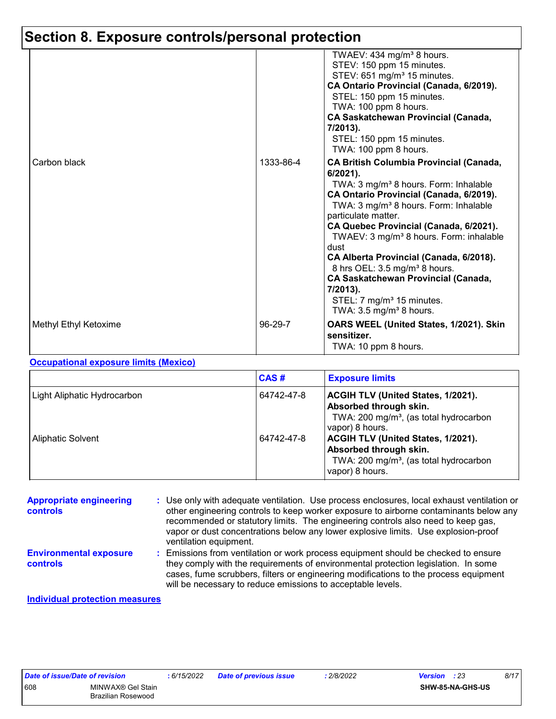# **Section 8. Exposure controls/personal protection**

|                       |           | TWAEV: 434 mg/m <sup>3</sup> 8 hours.<br>STEV: 150 ppm 15 minutes.<br>STEV: 651 mg/m <sup>3</sup> 15 minutes.<br>CA Ontario Provincial (Canada, 6/2019).<br>STEL: 150 ppm 15 minutes.<br>TWA: 100 ppm 8 hours.<br><b>CA Saskatchewan Provincial (Canada,</b><br>7/2013).<br>STEL: 150 ppm 15 minutes.<br>TWA: 100 ppm 8 hours.                                                                                                                                                                                                                                                     |
|-----------------------|-----------|------------------------------------------------------------------------------------------------------------------------------------------------------------------------------------------------------------------------------------------------------------------------------------------------------------------------------------------------------------------------------------------------------------------------------------------------------------------------------------------------------------------------------------------------------------------------------------|
| Carbon black          | 1333-86-4 | <b>CA British Columbia Provincial (Canada,</b><br>$6/2021$ ).<br>TWA: $3 \text{ mg/m}^3$ 8 hours. Form: Inhalable<br>CA Ontario Provincial (Canada, 6/2019).<br>TWA: 3 mg/m <sup>3</sup> 8 hours. Form: Inhalable<br>particulate matter.<br>CA Quebec Provincial (Canada, 6/2021).<br>TWAEV: 3 mg/m <sup>3</sup> 8 hours. Form: inhalable<br>dust<br>CA Alberta Provincial (Canada, 6/2018).<br>8 hrs OEL: 3.5 mg/m <sup>3</sup> 8 hours.<br><b>CA Saskatchewan Provincial (Canada,</b><br>7/2013).<br>STEL: 7 mg/m <sup>3</sup> 15 minutes.<br>TWA: $3.5 \text{ mg/m}^3$ 8 hours. |
| Methyl Ethyl Ketoxime | 96-29-7   | OARS WEEL (United States, 1/2021). Skin<br>sensitizer.<br>TWA: 10 ppm 8 hours.                                                                                                                                                                                                                                                                                                                                                                                                                                                                                                     |

#### **Occupational exposure limits (Mexico)**

|                             | CAS#       | <b>Exposure limits</b>                                                                                                                       |
|-----------------------------|------------|----------------------------------------------------------------------------------------------------------------------------------------------|
| Light Aliphatic Hydrocarbon | 64742-47-8 | <b>ACGIH TLV (United States, 1/2021).</b><br>Absorbed through skin.<br>TWA: 200 mg/m <sup>3</sup> , (as total hydrocarbon<br>vapor) 8 hours. |
| <b>Aliphatic Solvent</b>    | 64742-47-8 | <b>ACGIH TLV (United States, 1/2021).</b><br>Absorbed through skin.<br>TWA: 200 mg/m <sup>3</sup> , (as total hydrocarbon<br>vapor) 8 hours. |

| <b>Appropriate engineering</b><br><b>controls</b> | : Use only with adequate ventilation. Use process enclosures, local exhaust ventilation or<br>other engineering controls to keep worker exposure to airborne contaminants below any<br>recommended or statutory limits. The engineering controls also need to keep gas,<br>vapor or dust concentrations below any lower explosive limits. Use explosion-proof<br>ventilation equipment. |
|---------------------------------------------------|-----------------------------------------------------------------------------------------------------------------------------------------------------------------------------------------------------------------------------------------------------------------------------------------------------------------------------------------------------------------------------------------|
| <b>Environmental exposure</b><br><b>controls</b>  | : Emissions from ventilation or work process equipment should be checked to ensure<br>they comply with the requirements of environmental protection legislation. In some<br>cases, fume scrubbers, filters or engineering modifications to the process equipment<br>will be necessary to reduce emissions to acceptable levels.                                                         |

#### **Individual protection measures**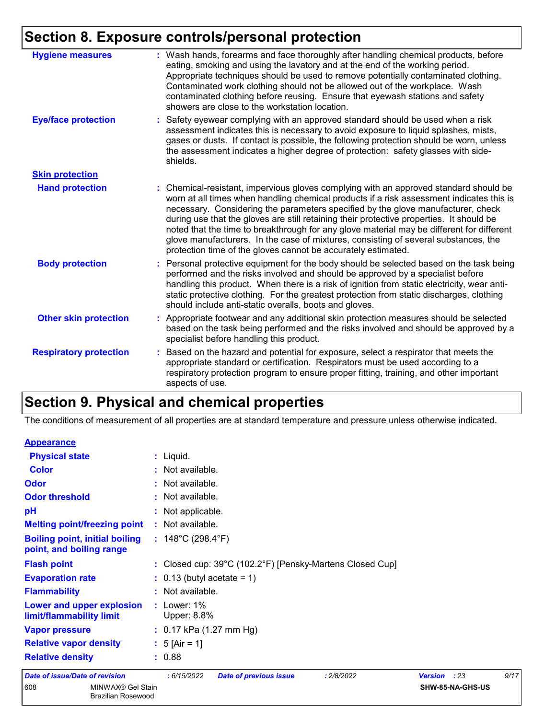# **Section 8. Exposure controls/personal protection**

| <b>Hygiene measures</b>       | : Wash hands, forearms and face thoroughly after handling chemical products, before<br>eating, smoking and using the lavatory and at the end of the working period.<br>Appropriate techniques should be used to remove potentially contaminated clothing.<br>Contaminated work clothing should not be allowed out of the workplace. Wash<br>contaminated clothing before reusing. Ensure that eyewash stations and safety<br>showers are close to the workstation location.                                                                                                                                            |
|-------------------------------|------------------------------------------------------------------------------------------------------------------------------------------------------------------------------------------------------------------------------------------------------------------------------------------------------------------------------------------------------------------------------------------------------------------------------------------------------------------------------------------------------------------------------------------------------------------------------------------------------------------------|
| <b>Eye/face protection</b>    | : Safety eyewear complying with an approved standard should be used when a risk<br>assessment indicates this is necessary to avoid exposure to liquid splashes, mists,<br>gases or dusts. If contact is possible, the following protection should be worn, unless<br>the assessment indicates a higher degree of protection: safety glasses with side-<br>shields.                                                                                                                                                                                                                                                     |
| <b>Skin protection</b>        |                                                                                                                                                                                                                                                                                                                                                                                                                                                                                                                                                                                                                        |
| <b>Hand protection</b>        | : Chemical-resistant, impervious gloves complying with an approved standard should be<br>worn at all times when handling chemical products if a risk assessment indicates this is<br>necessary. Considering the parameters specified by the glove manufacturer, check<br>during use that the gloves are still retaining their protective properties. It should be<br>noted that the time to breakthrough for any glove material may be different for different<br>glove manufacturers. In the case of mixtures, consisting of several substances, the<br>protection time of the gloves cannot be accurately estimated. |
| <b>Body protection</b>        | : Personal protective equipment for the body should be selected based on the task being<br>performed and the risks involved and should be approved by a specialist before<br>handling this product. When there is a risk of ignition from static electricity, wear anti-<br>static protective clothing. For the greatest protection from static discharges, clothing<br>should include anti-static overalls, boots and gloves.                                                                                                                                                                                         |
| <b>Other skin protection</b>  | : Appropriate footwear and any additional skin protection measures should be selected<br>based on the task being performed and the risks involved and should be approved by a<br>specialist before handling this product.                                                                                                                                                                                                                                                                                                                                                                                              |
| <b>Respiratory protection</b> | : Based on the hazard and potential for exposure, select a respirator that meets the<br>appropriate standard or certification. Respirators must be used according to a<br>respiratory protection program to ensure proper fitting, training, and other important<br>aspects of use.                                                                                                                                                                                                                                                                                                                                    |

# **Section 9. Physical and chemical properties**

The conditions of measurement of all properties are at standard temperature and pressure unless otherwise indicated.

| <b>Appearance</b>                                                 |                                                           |                        |      |  |  |
|-------------------------------------------------------------------|-----------------------------------------------------------|------------------------|------|--|--|
| <b>Physical state</b>                                             | : Liquid.                                                 |                        |      |  |  |
| <b>Color</b>                                                      | : Not available.                                          |                        |      |  |  |
| Odor                                                              | : Not available.                                          |                        |      |  |  |
| <b>Odor threshold</b>                                             | : Not available.                                          |                        |      |  |  |
| pH                                                                | : Not applicable.                                         |                        |      |  |  |
| <b>Melting point/freezing point</b>                               | : Not available.                                          |                        |      |  |  |
| <b>Boiling point, initial boiling</b><br>point, and boiling range | : $148^{\circ}$ C (298.4 $^{\circ}$ F)                    |                        |      |  |  |
| <b>Flash point</b>                                                | : Closed cup: 39°C (102.2°F) [Pensky-Martens Closed Cup]  |                        |      |  |  |
| <b>Evaporation rate</b>                                           | $: 0.13$ (butyl acetate = 1)                              |                        |      |  |  |
| <b>Flammability</b>                                               | : Not available.                                          |                        |      |  |  |
| Lower and upper explosion<br>limit/flammability limit             | $:$ Lower: 1%<br>Upper: 8.8%                              |                        |      |  |  |
| <b>Vapor pressure</b>                                             | : $0.17$ kPa (1.27 mm Hg)                                 |                        |      |  |  |
| <b>Relative vapor density</b>                                     | : $5$ [Air = 1]                                           |                        |      |  |  |
| <b>Relative density</b>                                           | : 0.88                                                    |                        |      |  |  |
| <b>Date of issue/Date of revision</b>                             | :6/15/2022<br><b>Date of previous issue</b><br>: 2/8/2022 | <b>Version</b><br>: 23 | 9/17 |  |  |
| 608<br>MINWAX® Gel Stain<br><b>Brazilian Rosewood</b>             |                                                           | SHW-85-NA-GHS-US       |      |  |  |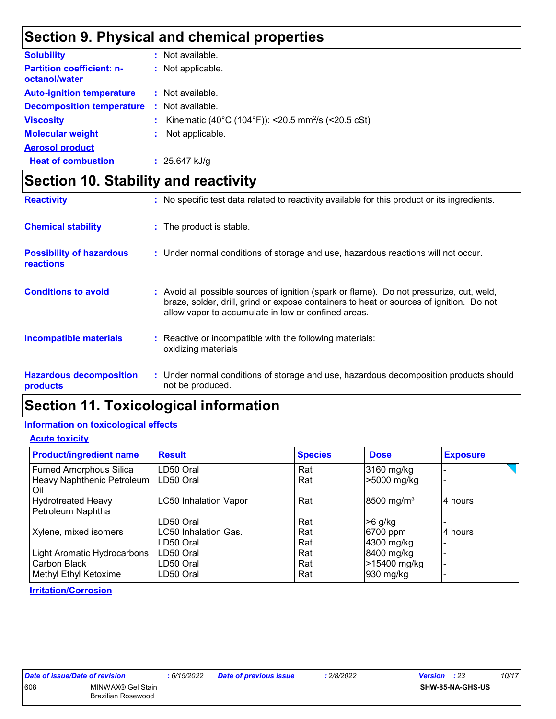### **Section 9. Physical and chemical properties**

| <b>Solubility</b>                                 | : Not available.                                               |
|---------------------------------------------------|----------------------------------------------------------------|
| <b>Partition coefficient: n-</b><br>octanol/water | : Not applicable.                                              |
| <b>Auto-ignition temperature</b>                  | : Not available.                                               |
| <b>Decomposition temperature</b>                  | : Not available.                                               |
| <b>Viscosity</b>                                  | Kinematic (40°C (104°F)): <20.5 mm <sup>2</sup> /s (<20.5 cSt) |
| <b>Molecular weight</b>                           | Not applicable.                                                |
| <b>Aerosol product</b>                            |                                                                |
| <b>Heat of combustion</b>                         | : $25.647$ kJ/g                                                |

## **Section 10. Stability and reactivity**

| <b>Reactivity</b>                                   | : No specific test data related to reactivity available for this product or its ingredients.                                                                                                                                               |
|-----------------------------------------------------|--------------------------------------------------------------------------------------------------------------------------------------------------------------------------------------------------------------------------------------------|
| <b>Chemical stability</b>                           | : The product is stable.                                                                                                                                                                                                                   |
| <b>Possibility of hazardous</b><br><b>reactions</b> | : Under normal conditions of storage and use, hazardous reactions will not occur.                                                                                                                                                          |
| <b>Conditions to avoid</b>                          | : Avoid all possible sources of ignition (spark or flame). Do not pressurize, cut, weld,<br>braze, solder, drill, grind or expose containers to heat or sources of ignition. Do not<br>allow vapor to accumulate in low or confined areas. |
| <b>Incompatible materials</b>                       | : Reactive or incompatible with the following materials:<br>oxidizing materials                                                                                                                                                            |
| <b>Hazardous decomposition</b><br>products          | : Under normal conditions of storage and use, hazardous decomposition products should<br>not be produced.                                                                                                                                  |

### **Section 11. Toxicological information**

#### **Information on toxicological effects**

#### **Acute toxicity**

| <b>Product/ingredient name</b>                 | <b>Result</b>                | <b>Species</b> | <b>Dose</b>              | <b>Exposure</b> |
|------------------------------------------------|------------------------------|----------------|--------------------------|-----------------|
| <b>Fumed Amorphous Silica</b>                  | LD50 Oral                    | Rat            | 3160 mg/kg               |                 |
| Heavy Naphthenic Petroleum<br>Oil              | LD50 Oral                    | Rat            | >5000 mg/kg              |                 |
| <b>Hydrotreated Heavy</b><br>Petroleum Naphtha | <b>LC50 Inhalation Vapor</b> | Rat            | $8500$ mg/m <sup>3</sup> | 4 hours         |
|                                                | LD50 Oral                    | Rat            | $>6$ g/kg                |                 |
| Xylene, mixed isomers                          | LC50 Inhalation Gas.         | Rat            | 6700 ppm                 | 4 hours         |
|                                                | LD50 Oral                    | Rat            | 4300 mg/kg               |                 |
| Light Aromatic Hydrocarbons                    | LD50 Oral                    | Rat            | 8400 mg/kg               |                 |
| Carbon Black                                   | LD50 Oral                    | Rat            | >15400 mg/kg             | -               |
| Methyl Ethyl Ketoxime                          | LD50 Oral                    | Rat            | 930 mg/kg                |                 |

#### **Irritation/Corrosion**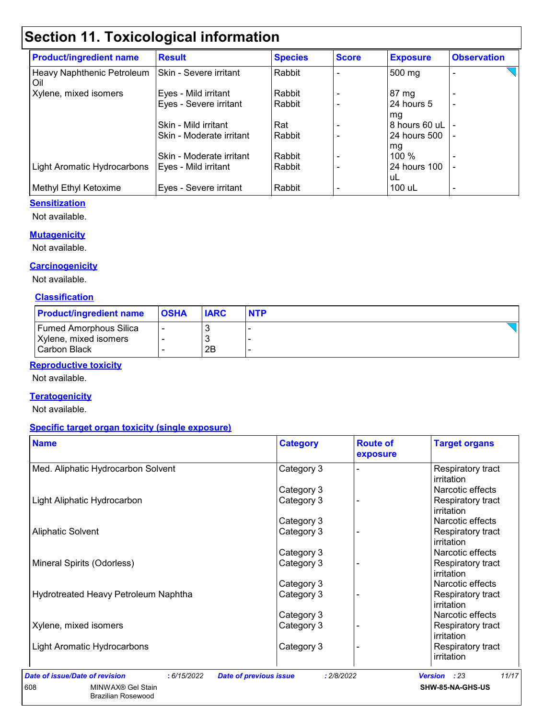# **Section 11. Toxicological information**

| <b>Product/ingredient name</b>    | <b>Result</b>            | <b>Species</b> | <b>Score</b> | <b>Exposure</b>  | <b>Observation</b> |
|-----------------------------------|--------------------------|----------------|--------------|------------------|--------------------|
| Heavy Naphthenic Petroleum<br>Oil | Skin - Severe irritant   | Rabbit         |              | 500 mg           |                    |
| Xylene, mixed isomers             | Eyes - Mild irritant     | Rabbit         |              | 87 mg            |                    |
|                                   | Eyes - Severe irritant   | Rabbit         |              | 24 hours 5<br>mg |                    |
|                                   | Skin - Mild irritant     | Rat            |              | 8 hours 60 uL    |                    |
|                                   | Skin - Moderate irritant | Rabbit         |              | 24 hours 500     |                    |
|                                   |                          |                |              | mg               |                    |
|                                   | Skin - Moderate irritant | Rabbit         |              | $100\%$          |                    |
| Light Aromatic Hydrocarbons       | Eyes - Mild irritant     | Rabbit         |              | 24 hours 100     |                    |
|                                   |                          |                |              | uL               |                    |
| Methyl Ethyl Ketoxime             | Eyes - Severe irritant   | Rabbit         |              | 100 uL           | ٠                  |

#### **Sensitization**

Not available.

#### **Mutagenicity**

Not available.

#### **Carcinogenicity**

Not available.

#### **Classification**

| <b>Product/ingredient name</b> | <b>OSHA</b> | <b>IARC</b> | <b>NTP</b> |
|--------------------------------|-------------|-------------|------------|
| <b>Fumed Amorphous Silica</b>  |             |             |            |
| Xylene, mixed isomers          |             |             |            |
| Carbon Black                   |             | 2Β          |            |

#### **Reproductive toxicity**

Not available.

#### **Teratogenicity**

Not available.

#### **Specific target organ toxicity (single exposure)**

| <b>Name</b>                          | <b>Category</b> | <b>Route of</b><br>exposure | <b>Target organs</b>                   |
|--------------------------------------|-----------------|-----------------------------|----------------------------------------|
| Med. Aliphatic Hydrocarbon Solvent   | Category 3      |                             | Respiratory tract<br>irritation        |
|                                      | Category 3      |                             | Narcotic effects                       |
| Light Aliphatic Hydrocarbon          | Category 3      |                             | Respiratory tract<br><i>irritation</i> |
|                                      | Category 3      |                             | Narcotic effects                       |
| <b>Aliphatic Solvent</b>             | Category 3      |                             | Respiratory tract<br><i>irritation</i> |
|                                      | Category 3      |                             | Narcotic effects                       |
| Mineral Spirits (Odorless)           | Category 3      |                             | Respiratory tract<br>irritation        |
|                                      | Category 3      |                             | Narcotic effects                       |
| Hydrotreated Heavy Petroleum Naphtha | Category 3      |                             | Respiratory tract<br><i>irritation</i> |
|                                      | Category 3      |                             | Narcotic effects                       |
| Xylene, mixed isomers                | Category 3      |                             | Respiratory tract<br>irritation        |
| <b>Light Aromatic Hydrocarbons</b>   | Category 3      |                             | Respiratory tract<br>irritation        |

**SHW-85-NA-GHS-US**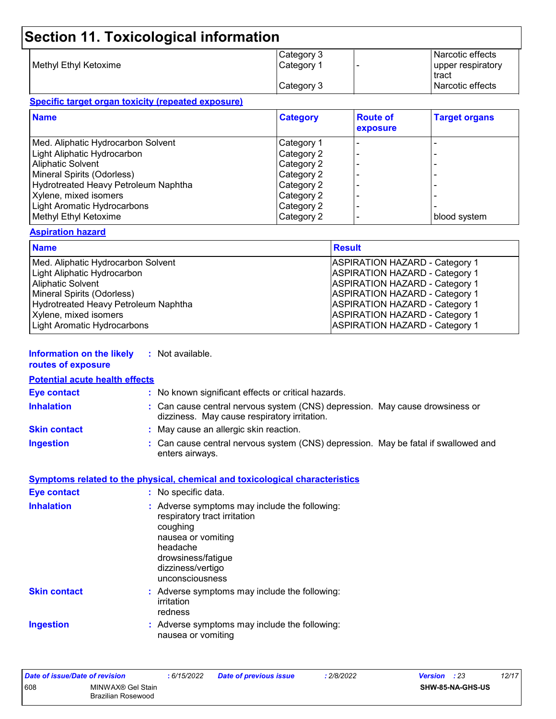## **Section 11. Toxicological information**

|                       | Category 3 | Narcotic effects   |
|-----------------------|------------|--------------------|
| Methyl Ethyl Ketoxime | Category 1 | upper respiratory  |
|                       |            | tract              |
|                       | Category 3 | l Narcotic effects |

#### **Specific target organ toxicity (repeated exposure)**

| <b>Name</b>                          | <b>Category</b> | <b>Route of</b><br>exposure | <b>Target organs</b> |
|--------------------------------------|-----------------|-----------------------------|----------------------|
| Med. Aliphatic Hydrocarbon Solvent   | Category 1      |                             |                      |
| Light Aliphatic Hydrocarbon          | Category 2      |                             |                      |
| <b>Aliphatic Solvent</b>             | Category 2      |                             |                      |
| Mineral Spirits (Odorless)           | Category 2      |                             |                      |
| Hydrotreated Heavy Petroleum Naphtha | Category 2      |                             |                      |
| Xylene, mixed isomers                | Category 2      |                             |                      |
| Light Aromatic Hydrocarbons          | Category 2      |                             |                      |
| Methyl Ethyl Ketoxime                | Category 2      |                             | blood system         |

#### **Aspiration hazard**

| <b>Name</b>                                 | <b>Result</b>                         |
|---------------------------------------------|---------------------------------------|
| Med. Aliphatic Hydrocarbon Solvent          | <b>ASPIRATION HAZARD - Category 1</b> |
| Light Aliphatic Hydrocarbon                 | <b>ASPIRATION HAZARD - Category 1</b> |
| <b>Aliphatic Solvent</b>                    | <b>ASPIRATION HAZARD - Category 1</b> |
| Mineral Spirits (Odorless)                  | <b>ASPIRATION HAZARD - Category 1</b> |
| <b>Hydrotreated Heavy Petroleum Naphtha</b> | <b>ASPIRATION HAZARD - Category 1</b> |
| Xylene, mixed isomers                       | <b>ASPIRATION HAZARD - Category 1</b> |
| Light Aromatic Hydrocarbons                 | <b>ASPIRATION HAZARD - Category 1</b> |

#### **Information on the likely routes of exposure :** Not available.

#### **Inhalation :** Can cause central nervous system (CNS) depression. May cause drowsiness or dizziness. May cause respiratory irritation. Can cause central nervous system (CNS) depression. May be fatal if swallowed and enters airways. **Ingestion : Skin contact :** May cause an allergic skin reaction. **Eye contact :** No known significant effects or critical hazards. **Potential acute health effects**

#### **Symptoms related to the physical, chemical and toxicological characteristics**

| <b>Eye contact</b>  | : No specific data.                                                                                                                                                                       |
|---------------------|-------------------------------------------------------------------------------------------------------------------------------------------------------------------------------------------|
| <b>Inhalation</b>   | : Adverse symptoms may include the following:<br>respiratory tract irritation<br>coughing<br>nausea or vomiting<br>headache<br>drowsiness/fatigue<br>dizziness/vertigo<br>unconsciousness |
| <b>Skin contact</b> | : Adverse symptoms may include the following:<br>irritation<br>redness                                                                                                                    |
| <b>Ingestion</b>    | : Adverse symptoms may include the following:<br>nausea or vomiting                                                                                                                       |

| Date of issue/Date of revision |                                                | 6/15/2022 | Date of previous issue | .2/8/2022 | 12/17<br><b>Version</b> : 23 |
|--------------------------------|------------------------------------------------|-----------|------------------------|-----------|------------------------------|
| 608                            | MINWAX® Gel Stain<br><b>Brazilian Rosewood</b> |           |                        |           | SHW-85-NA-GHS-US             |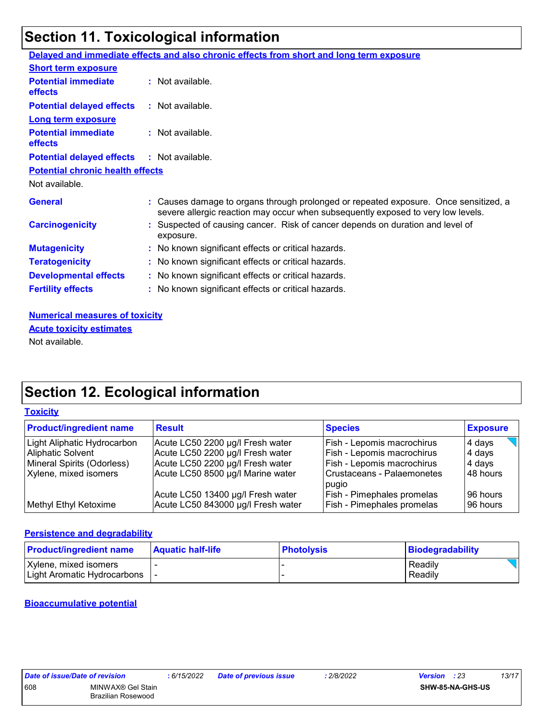# **Section 11. Toxicological information**

|                                                   | Delayed and immediate effects and also chronic effects from short and long term exposure                                                                                 |
|---------------------------------------------------|--------------------------------------------------------------------------------------------------------------------------------------------------------------------------|
| <b>Short term exposure</b>                        |                                                                                                                                                                          |
| <b>Potential immediate</b><br><b>effects</b>      | $:$ Not available.                                                                                                                                                       |
| <b>Potential delayed effects</b>                  | : Not available.                                                                                                                                                         |
| <b>Long term exposure</b>                         |                                                                                                                                                                          |
| <b>Potential immediate</b><br><b>effects</b>      | : Not available.                                                                                                                                                         |
| <b>Potential delayed effects : Not available.</b> |                                                                                                                                                                          |
| <b>Potential chronic health effects</b>           |                                                                                                                                                                          |
| Not available.                                    |                                                                                                                                                                          |
| <b>General</b>                                    | : Causes damage to organs through prolonged or repeated exposure. Once sensitized, a<br>severe allergic reaction may occur when subsequently exposed to very low levels. |
| <b>Carcinogenicity</b>                            | : Suspected of causing cancer. Risk of cancer depends on duration and level of<br>exposure.                                                                              |
| <b>Mutagenicity</b>                               | : No known significant effects or critical hazards.                                                                                                                      |
| <b>Teratogenicity</b>                             | : No known significant effects or critical hazards.                                                                                                                      |
| <b>Developmental effects</b>                      | : No known significant effects or critical hazards.                                                                                                                      |
| <b>Fertility effects</b>                          | : No known significant effects or critical hazards.                                                                                                                      |

**Numerical measures of toxicity** Not available. **Acute toxicity estimates**

## **Section 12. Ecological information**

#### **Toxicity**

| <b>Product/ingredient name</b> | <b>Result</b>                                                           | <b>Species</b>                                                         | <b>Exposure</b>      |
|--------------------------------|-------------------------------------------------------------------------|------------------------------------------------------------------------|----------------------|
| Light Aliphatic Hydrocarbon    | Acute LC50 2200 µg/l Fresh water                                        | <b>Fish - Lepomis macrochirus</b>                                      | 4 days               |
| Aliphatic Solvent              | Acute LC50 2200 µg/l Fresh water                                        | <b>Fish - Lepomis macrochirus</b>                                      | 4 days               |
| Mineral Spirits (Odorless)     | Acute LC50 2200 µg/l Fresh water                                        | <b>Fish - Lepomis macrochirus</b>                                      | ∣4 days              |
| Xylene, mixed isomers          | Acute LC50 8500 µg/l Marine water                                       | Crustaceans - Palaemonetes<br>pugio                                    | 48 hours             |
| Methyl Ethyl Ketoxime          | Acute LC50 13400 µg/l Fresh water<br>Acute LC50 843000 µg/l Fresh water | <b>Fish - Pimephales promelas</b><br><b>Fish - Pimephales promelas</b> | 96 hours<br>96 hours |

#### **Persistence and degradability**

| <b>Product/ingredient name</b>                             | <b>Aquatic half-life</b> | <b>Photolysis</b> | Biodegradability   |
|------------------------------------------------------------|--------------------------|-------------------|--------------------|
| Xylene, mixed isomers<br>  Light Aromatic Hydrocarbons   - |                          |                   | Readily<br>Readily |

#### **Bioaccumulative potential**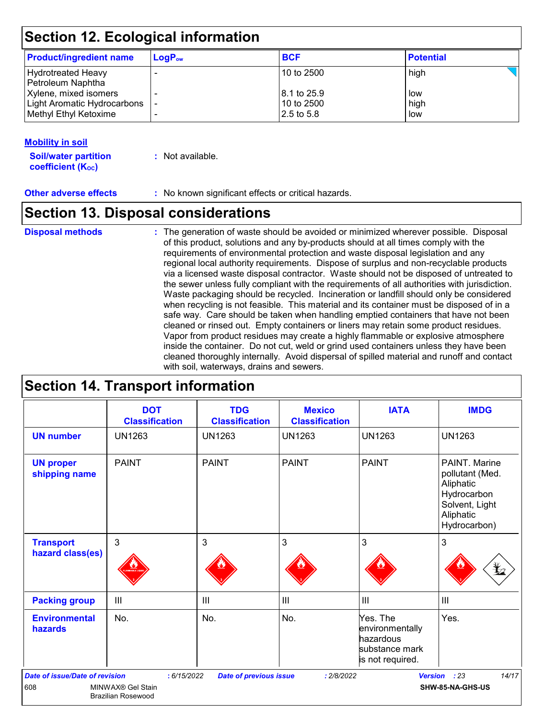### **Section 12. Ecological information**

| <b>Product/ingredient name</b>                       | $LogP_{ow}$ | <b>BCF</b>                  | <b>Potential</b> |
|------------------------------------------------------|-------------|-----------------------------|------------------|
| Hydrotreated Heavy<br>Petroleum Naphtha              |             | 10 to 2500                  | high             |
| Xylene, mixed isomers<br>Light Aromatic Hydrocarbons |             | l 8.1 to 25.9<br>10 to 2500 | low<br>high      |
| Methyl Ethyl Ketoxime                                |             | 2.5 to 5.8                  | low              |

#### **Mobility in soil**

**Soil/water partition coefficient (KOC) :** Not available.

**Other adverse effects** : No known significant effects or critical hazards.

### **Section 13. Disposal considerations**

**Disposal methods :**

The generation of waste should be avoided or minimized wherever possible. Disposal of this product, solutions and any by-products should at all times comply with the requirements of environmental protection and waste disposal legislation and any regional local authority requirements. Dispose of surplus and non-recyclable products via a licensed waste disposal contractor. Waste should not be disposed of untreated to the sewer unless fully compliant with the requirements of all authorities with jurisdiction. Waste packaging should be recycled. Incineration or landfill should only be considered when recycling is not feasible. This material and its container must be disposed of in a safe way. Care should be taken when handling emptied containers that have not been cleaned or rinsed out. Empty containers or liners may retain some product residues. Vapor from product residues may create a highly flammable or explosive atmosphere inside the container. Do not cut, weld or grind used containers unless they have been cleaned thoroughly internally. Avoid dispersal of spilled material and runoff and contact with soil, waterways, drains and sewers.

### **Section 14. Transport information**

|                                                                                                                                                                                                                     | <b>DOT</b><br><b>Classification</b>          | <b>TDG</b><br><b>Classification</b> | <b>Mexico</b><br><b>Classification</b> | <b>IATA</b>                                                                                                                 | <b>IMDG</b>   |
|---------------------------------------------------------------------------------------------------------------------------------------------------------------------------------------------------------------------|----------------------------------------------|-------------------------------------|----------------------------------------|-----------------------------------------------------------------------------------------------------------------------------|---------------|
| <b>UN number</b>                                                                                                                                                                                                    | <b>UN1263</b>                                | <b>UN1263</b>                       | <b>UN1263</b>                          | <b>UN1263</b>                                                                                                               | <b>UN1263</b> |
| <b>UN proper</b><br>shipping name                                                                                                                                                                                   | <b>PAINT</b><br><b>PAINT</b><br><b>PAINT</b> |                                     |                                        | <b>PAINT</b><br>PAINT. Marine<br>pollutant (Med.<br>Aliphatic<br>Hydrocarbon<br>Solvent, Light<br>Aliphatic<br>Hydrocarbon) |               |
| <b>Transport</b><br>hazard class(es)                                                                                                                                                                                | 3                                            | 3                                   | 3                                      | 3                                                                                                                           | 3<br>¥2       |
| <b>Packing group</b>                                                                                                                                                                                                | III                                          | $\mathbf{III}$                      | $\mathbf{III}$                         | $\mathbf{III}$                                                                                                              | III           |
| <b>Environmental</b><br>hazards                                                                                                                                                                                     | No.                                          | No.                                 | No.                                    | Yes. The<br>environmentally<br>hazardous<br>substance mark<br>is not required.                                              | Yes.          |
| 14/17<br><b>Date of issue/Date of revision</b><br><b>Version</b><br>: 23<br>: 6/15/2022<br><b>Date of previous issue</b><br>: 2/8/2022<br>608<br>SHW-85-NA-GHS-US<br>MINWAX® Gel Stain<br><b>Brazilian Rosewood</b> |                                              |                                     |                                        |                                                                                                                             |               |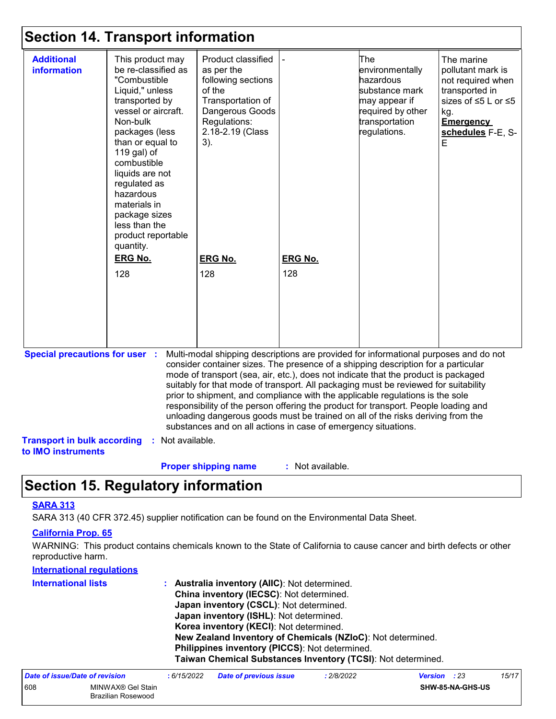### **Section 14. Transport information**

| <b>Additional</b><br>information                         | This product may<br>be re-classified as<br>"Combustible<br>Liquid," unless<br>transported by<br>vessel or aircraft.<br>Non-bulk<br>packages (less<br>than or equal to<br>119 gal) of<br>combustible<br>liquids are not<br>regulated as<br>hazardous<br>materials in<br>package sizes<br>less than the<br>product reportable<br>quantity.<br><b>ERG No.</b><br>128 | Product classified<br>as per the<br>following sections<br>of the<br>Transportation of<br>Dangerous Goods<br>Regulations:<br>2.18-2.19 (Class<br>3).<br><b>ERG No.</b><br>128                                                                                                                                                                                                                                                                                                                                                                                                                                                                                                        | <b>ERG No.</b><br>128 | The<br>environmentally<br>hazardous<br>substance mark<br>may appear if<br>required by other<br>transportation<br>regulations. | The marine<br>pollutant mark is<br>not required when<br>transported in<br>sizes of ≤5 L or ≤5<br>kg.<br><b>Emergency</b><br>schedules F-E, S-<br>Е |
|----------------------------------------------------------|-------------------------------------------------------------------------------------------------------------------------------------------------------------------------------------------------------------------------------------------------------------------------------------------------------------------------------------------------------------------|-------------------------------------------------------------------------------------------------------------------------------------------------------------------------------------------------------------------------------------------------------------------------------------------------------------------------------------------------------------------------------------------------------------------------------------------------------------------------------------------------------------------------------------------------------------------------------------------------------------------------------------------------------------------------------------|-----------------------|-------------------------------------------------------------------------------------------------------------------------------|----------------------------------------------------------------------------------------------------------------------------------------------------|
| <b>Special precautions for user :</b>                    |                                                                                                                                                                                                                                                                                                                                                                   | Multi-modal shipping descriptions are provided for informational purposes and do not<br>consider container sizes. The presence of a shipping description for a particular<br>mode of transport (sea, air, etc.), does not indicate that the product is packaged<br>suitably for that mode of transport. All packaging must be reviewed for suitability<br>prior to shipment, and compliance with the applicable regulations is the sole<br>responsibility of the person offering the product for transport. People loading and<br>unloading dangerous goods must be trained on all of the risks deriving from the<br>substances and on all actions in case of emergency situations. |                       |                                                                                                                               |                                                                                                                                                    |
| <b>Transport in bulk according</b><br>to IMO instruments | : Not available.                                                                                                                                                                                                                                                                                                                                                  |                                                                                                                                                                                                                                                                                                                                                                                                                                                                                                                                                                                                                                                                                     |                       |                                                                                                                               |                                                                                                                                                    |
|                                                          |                                                                                                                                                                                                                                                                                                                                                                   | <b>Proper shipping name</b>                                                                                                                                                                                                                                                                                                                                                                                                                                                                                                                                                                                                                                                         | : Not available.      |                                                                                                                               |                                                                                                                                                    |

### **Section 15. Regulatory information**

#### **SARA 313**

SARA 313 (40 CFR 372.45) supplier notification can be found on the Environmental Data Sheet.

#### **California Prop. 65**

WARNING: This product contains chemicals known to the State of California to cause cancer and birth defects or other reproductive harm.

| <b>International regulations</b> |                                                                                                                                           |                                                                                                                |            |                     |  |       |
|----------------------------------|-------------------------------------------------------------------------------------------------------------------------------------------|----------------------------------------------------------------------------------------------------------------|------------|---------------------|--|-------|
| <b>International lists</b>       | <b>Australia inventory (AIIC): Not determined.</b><br>China inventory (IECSC): Not determined.<br>Japan inventory (CSCL): Not determined. |                                                                                                                |            |                     |  |       |
|                                  |                                                                                                                                           | Japan inventory (ISHL): Not determined.<br>Korea inventory (KECI): Not determined.                             |            |                     |  |       |
|                                  |                                                                                                                                           | New Zealand Inventory of Chemicals (NZIoC): Not determined.                                                    |            |                     |  |       |
|                                  |                                                                                                                                           | Philippines inventory (PICCS): Not determined.<br>Taiwan Chemical Substances Inventory (TCSI): Not determined. |            |                     |  |       |
| Date of issue/Date of revision   | :6/15/2022                                                                                                                                | <b>Date of previous issue</b>                                                                                  | : 2/8/2022 | <b>Version</b> : 23 |  | 15/17 |

| Date of Issue/Date of revision |                                         | : 6/15/2022 | Date of previous issue | * 2/8/2022 · | version | : 23             | 15/17 |
|--------------------------------|-----------------------------------------|-------------|------------------------|--------------|---------|------------------|-------|
| 608                            | MINWAX® Gel Stain<br>Brazilian Rosewood |             |                        |              |         | SHW-85-NA-GHS-US |       |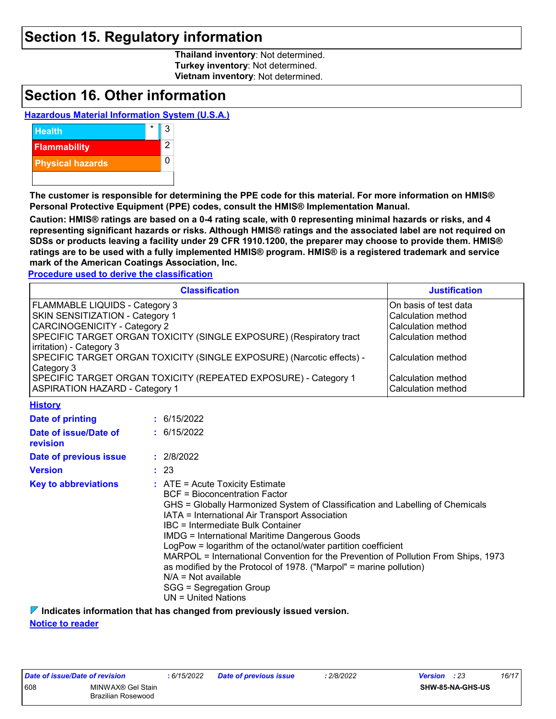### **Section 15. Regulatory information**

**Thailand inventory**: Not determined. **Turkey inventory**: Not determined. **Vietnam inventory**: Not determined.

### **Section 16. Other information**

#### **Hazardous Material Information System (U.S.A.)**



**The customer is responsible for determining the PPE code for this material. For more information on HMIS® Personal Protective Equipment (PPE) codes, consult the HMIS® Implementation Manual.**

**Caution: HMIS® ratings are based on a 0-4 rating scale, with 0 representing minimal hazards or risks, and 4 representing significant hazards or risks. Although HMIS® ratings and the associated label are not required on SDSs or products leaving a facility under 29 CFR 1910.1200, the preparer may choose to provide them. HMIS® ratings are to be used with a fully implemented HMIS® program. HMIS® is a registered trademark and service mark of the American Coatings Association, Inc.**

**Procedure used to derive the classification**

| <b>Classification</b>                                                 | <b>Justification</b>  |
|-----------------------------------------------------------------------|-----------------------|
| <b>FLAMMABLE LIQUIDS - Category 3</b>                                 | On basis of test data |
| <b>SKIN SENSITIZATION - Category 1</b>                                | Calculation method    |
| CARCINOGENICITY - Category 2                                          | Calculation method    |
| SPECIFIC TARGET ORGAN TOXICITY (SINGLE EXPOSURE) (Respiratory tract   | Calculation method    |
| irritation) - Category 3                                              |                       |
| SPECIFIC TARGET ORGAN TOXICITY (SINGLE EXPOSURE) (Narcotic effects) - | Calculation method    |
| Category 3                                                            |                       |
| SPECIFIC TARGET ORGAN TOXICITY (REPEATED EXPOSURE) - Category 1       | Calculation method    |
| <b>ASPIRATION HAZARD - Category 1</b>                                 | Calculation method    |

**History**

| Date of printing                         | : 6/15/2022                                                                                                                                                                                                                                                                                                                                                                                                                                                                                                                                                                                                         |
|------------------------------------------|---------------------------------------------------------------------------------------------------------------------------------------------------------------------------------------------------------------------------------------------------------------------------------------------------------------------------------------------------------------------------------------------------------------------------------------------------------------------------------------------------------------------------------------------------------------------------------------------------------------------|
| Date of issue/Date of<br><b>revision</b> | $\div$ 6/15/2022                                                                                                                                                                                                                                                                                                                                                                                                                                                                                                                                                                                                    |
| Date of previous issue                   | : 2/8/2022                                                                                                                                                                                                                                                                                                                                                                                                                                                                                                                                                                                                          |
| <b>Version</b>                           | : 23                                                                                                                                                                                                                                                                                                                                                                                                                                                                                                                                                                                                                |
| <b>Key to abbreviations</b>              | $\therefore$ ATE = Acute Toxicity Estimate<br>BCF = Bioconcentration Factor<br>GHS = Globally Harmonized System of Classification and Labelling of Chemicals<br>IATA = International Air Transport Association<br>IBC = Intermediate Bulk Container<br><b>IMDG = International Maritime Dangerous Goods</b><br>LogPow = logarithm of the octanol/water partition coefficient<br>MARPOL = International Convention for the Prevention of Pollution From Ships, 1973<br>as modified by the Protocol of 1978. ("Marpol" = marine pollution)<br>$N/A = Not available$<br>SGG = Segregation Group<br>UN = United Nations |

**Indicates information that has changed from previously issued version.**

#### **Notice to reader**

| Date of issue/Date of revision |                    | :6/15/20 |
|--------------------------------|--------------------|----------|
| 608                            | MINWAX® Gel Stain  |          |
|                                | Brazilian Rosewood |          |